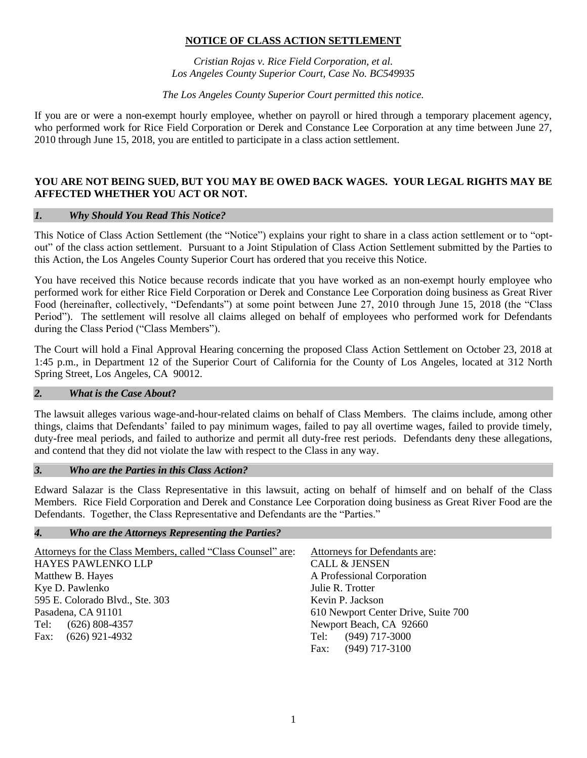## **NOTICE OF CLASS ACTION SETTLEMENT**

*Cristian Rojas v. Rice Field Corporation, et al. Los Angeles County Superior Court, Case No. BC549935*

*The Los Angeles County Superior Court permitted this notice.* 

If you are or were a non-exempt hourly employee, whether on payroll or hired through a temporary placement agency, who performed work for Rice Field Corporation or Derek and Constance Lee Corporation at any time between June 27, 2010 through June 15, 2018, you are entitled to participate in a class action settlement.

### **YOU ARE NOT BEING SUED, BUT YOU MAY BE OWED BACK WAGES. YOUR LEGAL RIGHTS MAY BE AFFECTED WHETHER YOU ACT OR NOT.**

### *1. Why Should You Read This Notice?*

This Notice of Class Action Settlement (the "Notice") explains your right to share in a class action settlement or to "optout" of the class action settlement. Pursuant to a Joint Stipulation of Class Action Settlement submitted by the Parties to this Action, the Los Angeles County Superior Court has ordered that you receive this Notice.

You have received this Notice because records indicate that you have worked as an non-exempt hourly employee who performed work for either Rice Field Corporation or Derek and Constance Lee Corporation doing business as Great River Food (hereinafter, collectively, "Defendants") at some point between June 27, 2010 through June 15, 2018 (the "Class Period"). The settlement will resolve all claims alleged on behalf of employees who performed work for Defendants during the Class Period ("Class Members").

The Court will hold a Final Approval Hearing concerning the proposed Class Action Settlement on October 23, 2018 at 1:45 p.m., in Department 12 of the Superior Court of California for the County of Los Angeles, located at 312 North Spring Street, Los Angeles, CA 90012.

#### *2. What is the Case About***?**

The lawsuit alleges various wage-and-hour-related claims on behalf of Class Members. The claims include, among other things, claims that Defendants' failed to pay minimum wages, failed to pay all overtime wages, failed to provide timely, duty-free meal periods, and failed to authorize and permit all duty-free rest periods. Defendants deny these allegations, and contend that they did not violate the law with respect to the Class in any way.

#### *3. Who are the Parties in this Class Action?*

Edward Salazar is the Class Representative in this lawsuit, acting on behalf of himself and on behalf of the Class Members. Rice Field Corporation and Derek and Constance Lee Corporation doing business as Great River Food are the Defendants. Together, the Class Representative and Defendants are the "Parties."

#### *4. Who are the Attorneys Representing the Parties?*

| Attorneys for the Class Members, called "Class Counsel" are: | Attorneys for Defendants are:       |
|--------------------------------------------------------------|-------------------------------------|
| HAYES PAWLENKO LLP                                           | <b>CALL &amp; JENSEN</b>            |
| Matthew B. Hayes                                             | A Professional Corporation          |
| Kye D. Pawlenko                                              | Julie R. Trotter                    |
| 595 E. Colorado Blvd., Ste. 303                              | Kevin P. Jackson                    |
| Pasadena, CA 91101                                           | 610 Newport Center Drive, Suite 700 |
| Tel: (626) 808-4357                                          | Newport Beach, CA 92660             |
| Fax: $(626)$ 921-4932                                        | $(949)$ 717-3000<br>Tel:            |
|                                                              | $(949)$ 717-3100<br>Fax:            |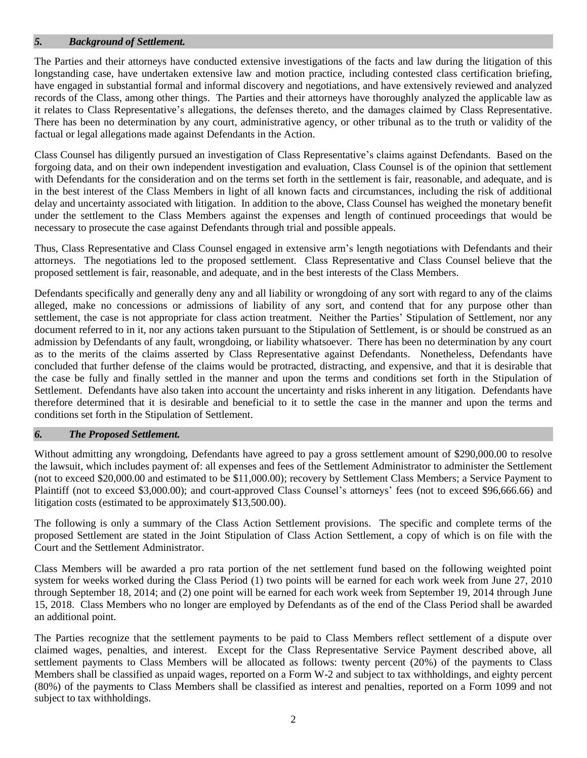### *5. Background of Settlement.*

The Parties and their attorneys have conducted extensive investigations of the facts and law during the litigation of this longstanding case, have undertaken extensive law and motion practice, including contested class certification briefing, have engaged in substantial formal and informal discovery and negotiations, and have extensively reviewed and analyzed records of the Class, among other things. The Parties and their attorneys have thoroughly analyzed the applicable law as it relates to Class Representative's allegations, the defenses thereto, and the damages claimed by Class Representative. There has been no determination by any court, administrative agency, or other tribunal as to the truth or validity of the factual or legal allegations made against Defendants in the Action.

Class Counsel has diligently pursued an investigation of Class Representative's claims against Defendants. Based on the forgoing data, and on their own independent investigation and evaluation, Class Counsel is of the opinion that settlement with Defendants for the consideration and on the terms set forth in the settlement is fair, reasonable, and adequate, and is in the best interest of the Class Members in light of all known facts and circumstances, including the risk of additional delay and uncertainty associated with litigation. In addition to the above, Class Counsel has weighed the monetary benefit under the settlement to the Class Members against the expenses and length of continued proceedings that would be necessary to prosecute the case against Defendants through trial and possible appeals.

Thus, Class Representative and Class Counsel engaged in extensive arm's length negotiations with Defendants and their attorneys. The negotiations led to the proposed settlement. Class Representative and Class Counsel believe that the proposed settlement is fair, reasonable, and adequate, and in the best interests of the Class Members.

Defendants specifically and generally deny any and all liability or wrongdoing of any sort with regard to any of the claims alleged, make no concessions or admissions of liability of any sort, and contend that for any purpose other than settlement, the case is not appropriate for class action treatment. Neither the Parties' Stipulation of Settlement, nor any document referred to in it, nor any actions taken pursuant to the Stipulation of Settlement, is or should be construed as an admission by Defendants of any fault, wrongdoing, or liability whatsoever. There has been no determination by any court as to the merits of the claims asserted by Class Representative against Defendants. Nonetheless, Defendants have concluded that further defense of the claims would be protracted, distracting, and expensive, and that it is desirable that the case be fully and finally settled in the manner and upon the terms and conditions set forth in the Stipulation of Settlement. Defendants have also taken into account the uncertainty and risks inherent in any litigation. Defendants have therefore determined that it is desirable and beneficial to it to settle the case in the manner and upon the terms and conditions set forth in the Stipulation of Settlement.

#### *6. The Proposed Settlement.*

Without admitting any wrongdoing, Defendants have agreed to pay a gross settlement amount of \$290,000.00 to resolve the lawsuit, which includes payment of: all expenses and fees of the Settlement Administrator to administer the Settlement (not to exceed \$20,000.00 and estimated to be \$11,000.00); recovery by Settlement Class Members; a Service Payment to Plaintiff (not to exceed \$3,000.00); and court-approved Class Counsel's attorneys' fees (not to exceed \$96,666.66) and litigation costs (estimated to be approximately \$13,500.00).

The following is only a summary of the Class Action Settlement provisions. The specific and complete terms of the proposed Settlement are stated in the Joint Stipulation of Class Action Settlement, a copy of which is on file with the Court and the Settlement Administrator.

Class Members will be awarded a pro rata portion of the net settlement fund based on the following weighted point system for weeks worked during the Class Period (1) two points will be earned for each work week from June 27, 2010 through September 18, 2014; and (2) one point will be earned for each work week from September 19, 2014 through June 15, 2018. Class Members who no longer are employed by Defendants as of the end of the Class Period shall be awarded an additional point.

The Parties recognize that the settlement payments to be paid to Class Members reflect settlement of a dispute over claimed wages, penalties, and interest. Except for the Class Representative Service Payment described above, all settlement payments to Class Members will be allocated as follows: twenty percent (20%) of the payments to Class Members shall be classified as unpaid wages, reported on a Form W-2 and subject to tax withholdings, and eighty percent (80%) of the payments to Class Members shall be classified as interest and penalties, reported on a Form 1099 and not subject to tax withholdings.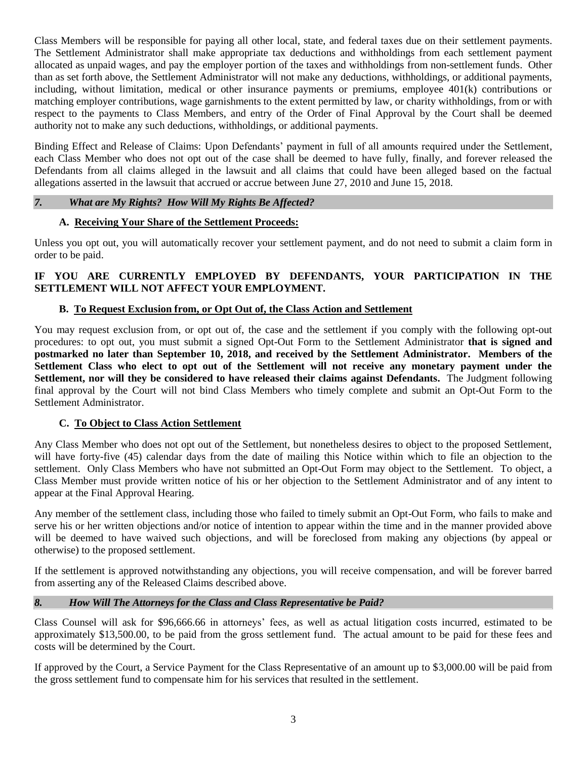Class Members will be responsible for paying all other local, state, and federal taxes due on their settlement payments. The Settlement Administrator shall make appropriate tax deductions and withholdings from each settlement payment allocated as unpaid wages, and pay the employer portion of the taxes and withholdings from non-settlement funds. Other than as set forth above, the Settlement Administrator will not make any deductions, withholdings, or additional payments, including, without limitation, medical or other insurance payments or premiums, employee 401(k) contributions or matching employer contributions, wage garnishments to the extent permitted by law, or charity withholdings, from or with respect to the payments to Class Members, and entry of the Order of Final Approval by the Court shall be deemed authority not to make any such deductions, withholdings, or additional payments.

Binding Effect and Release of Claims: Upon Defendants' payment in full of all amounts required under the Settlement, each Class Member who does not opt out of the case shall be deemed to have fully, finally, and forever released the Defendants from all claims alleged in the lawsuit and all claims that could have been alleged based on the factual allegations asserted in the lawsuit that accrued or accrue between June 27, 2010 and June 15, 2018.

# *7. What are My Rights? How Will My Rights Be Affected?*

## **A. Receiving Your Share of the Settlement Proceeds:**

Unless you opt out, you will automatically recover your settlement payment, and do not need to submit a claim form in order to be paid.

# **IF YOU ARE CURRENTLY EMPLOYED BY DEFENDANTS, YOUR PARTICIPATION IN THE SETTLEMENT WILL NOT AFFECT YOUR EMPLOYMENT.**

# **B. To Request Exclusion from, or Opt Out of, the Class Action and Settlement**

You may request exclusion from, or opt out of, the case and the settlement if you comply with the following opt-out procedures: to opt out, you must submit a signed Opt-Out Form to the Settlement Administrator **that is signed and postmarked no later than September 10, 2018, and received by the Settlement Administrator. Members of the Settlement Class who elect to opt out of the Settlement will not receive any monetary payment under the Settlement, nor will they be considered to have released their claims against Defendants.** The Judgment following final approval by the Court will not bind Class Members who timely complete and submit an Opt-Out Form to the Settlement Administrator.

## **C. To Object to Class Action Settlement**

Any Class Member who does not opt out of the Settlement, but nonetheless desires to object to the proposed Settlement, will have forty-five (45) calendar days from the date of mailing this Notice within which to file an objection to the settlement. Only Class Members who have not submitted an Opt-Out Form may object to the Settlement. To object, a Class Member must provide written notice of his or her objection to the Settlement Administrator and of any intent to appear at the Final Approval Hearing.

Any member of the settlement class, including those who failed to timely submit an Opt-Out Form, who fails to make and serve his or her written objections and/or notice of intention to appear within the time and in the manner provided above will be deemed to have waived such objections, and will be foreclosed from making any objections (by appeal or otherwise) to the proposed settlement.

If the settlement is approved notwithstanding any objections, you will receive compensation, and will be forever barred from asserting any of the Released Claims described above.

# *8. How Will The Attorneys for the Class and Class Representative be Paid?*

Class Counsel will ask for \$96,666.66 in attorneys' fees, as well as actual litigation costs incurred, estimated to be approximately \$13,500.00, to be paid from the gross settlement fund. The actual amount to be paid for these fees and costs will be determined by the Court.

If approved by the Court, a Service Payment for the Class Representative of an amount up to \$3,000.00 will be paid from the gross settlement fund to compensate him for his services that resulted in the settlement.